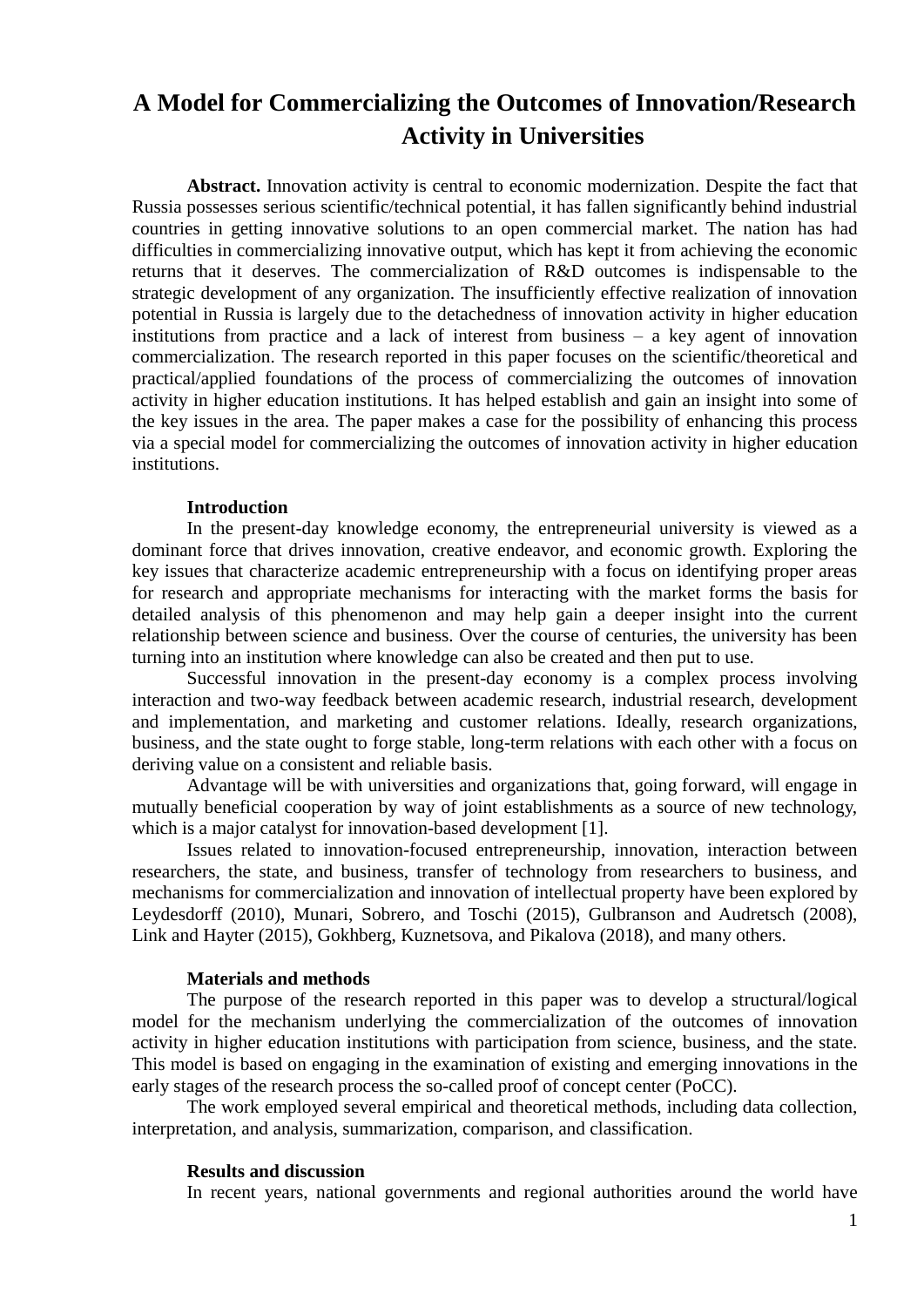# **A Model for Commercializing the Outcomes of Innovation/Research Activity in Universities**

**Abstract.** Innovation activity is central to economic modernization. Despite the fact that Russia possesses serious scientific/technical potential, it has fallen significantly behind industrial countries in getting innovative solutions to an open commercial market. The nation has had difficulties in commercializing innovative output, which has kept it from achieving the economic returns that it deserves. The commercialization of R&D outcomes is indispensable to the strategic development of any organization. The insufficiently effective realization of innovation potential in Russia is largely due to the detachedness of innovation activity in higher education institutions from practice and a lack of interest from business – a key agent of innovation commercialization. The research reported in this paper focuses on the scientific/theoretical and practical/applied foundations of the process of commercializing the outcomes of innovation activity in higher education institutions. It has helped establish and gain an insight into some of the key issues in the area. The paper makes a case for the possibility of enhancing this process via a special model for commercializing the outcomes of innovation activity in higher education institutions.

#### **Introduction**

In the present-day knowledge economy, the entrepreneurial university is viewed as a dominant force that drives innovation, creative endeavor, and economic growth. Exploring the key issues that characterize academic entrepreneurship with a focus on identifying proper areas for research and appropriate mechanisms for interacting with the market forms the basis for detailed analysis of this phenomenon and may help gain a deeper insight into the current relationship between science and business. Over the course of centuries, the university has been turning into an institution where knowledge can also be created and then put to use.

Successful innovation in the present-day economy is a complex process involving interaction and two-way feedback between academic research, industrial research, development and implementation, and marketing and customer relations. Ideally, research organizations, business, and the state ought to forge stable, long-term relations with each other with a focus on deriving value on a consistent and reliable basis.

Advantage will be with universities and organizations that, going forward, will engage in mutually beneficial cooperation by way of joint establishments as a source of new technology, which is a major catalyst for innovation-based development [1].

Issues related to innovation-focused entrepreneurship, innovation, interaction between researchers, the state, and business, transfer of technology from researchers to business, and mechanisms for commercialization and innovation of intellectual property have been explored by Leydesdorff (2010), Munari, Sobrero, and Toschi (2015), Gulbranson and Audretsch (2008), Link and Hayter (2015), Gokhberg, Kuznetsova, and Pikalova (2018), and many others.

## **Materials and methods**

The purpose of the research reported in this paper was to develop a structural/logical model for the mechanism underlying the commercialization of the outcomes of innovation activity in higher education institutions with participation from science, business, and the state. This model is based on engaging in the examination of existing and emerging innovations in the early stages of the research process the so-called proof of concept center (PoCC).

The work employed several empirical and theoretical methods, including data collection, interpretation, and analysis, summarization, comparison, and classification.

#### **Results and discussion**

In recent years, national governments and regional authorities around the world have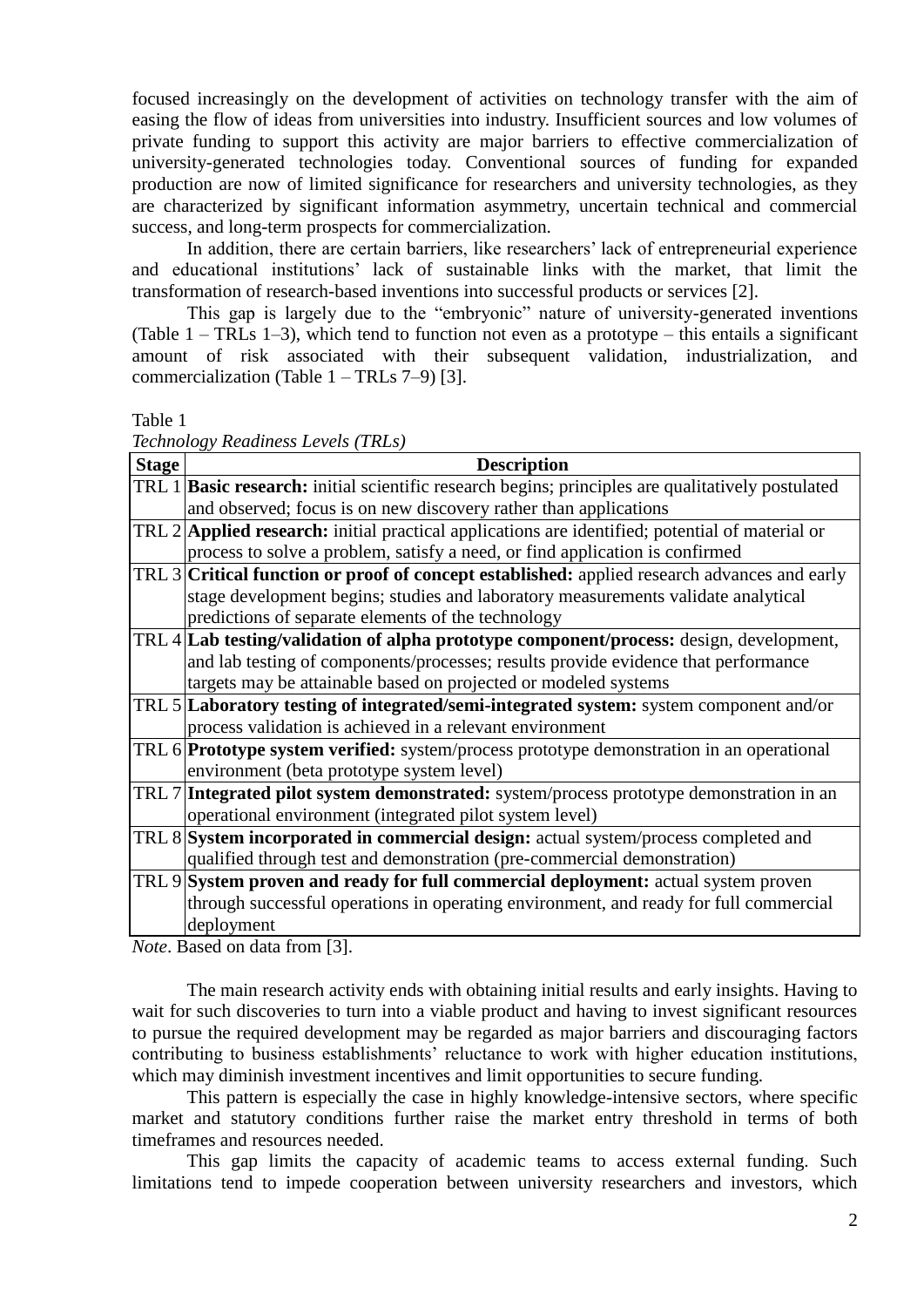focused increasingly on the development of activities on technology transfer with the aim of easing the flow of ideas from universities into industry. Insufficient sources and low volumes of private funding to support this activity are major barriers to effective commercialization of university-generated technologies today. Conventional sources of funding for expanded production are now of limited significance for researchers and university technologies, as they are characterized by significant information asymmetry, uncertain technical and commercial success, and long-term prospects for commercialization.

In addition, there are certain barriers, like researchers' lack of entrepreneurial experience and educational institutions' lack of sustainable links with the market, that limit the transformation of research-based inventions into successful products or services [2].

This gap is largely due to the "embryonic" nature of university-generated inventions (Table  $1 - \text{TRLs } 1-3$ ), which tend to function not even as a prototype – this entails a significant amount of risk associated with their subsequent validation, industrialization, and commercialization (Table  $1 - \text{TRLs}$  7–9) [3].

Table 1

*Technology Readiness Levels (TRLs)*

| <b>Stage</b> | <b>Description</b>                                                                                       |  |  |  |  |  |
|--------------|----------------------------------------------------------------------------------------------------------|--|--|--|--|--|
|              | TRL 1 <b>Basic research:</b> initial scientific research begins; principles are qualitatively postulated |  |  |  |  |  |
|              | and observed; focus is on new discovery rather than applications                                         |  |  |  |  |  |
|              | TRL 2 <b>Applied research:</b> initial practical applications are identified; potential of material or   |  |  |  |  |  |
|              | process to solve a problem, satisfy a need, or find application is confirmed                             |  |  |  |  |  |
|              | TRL 3 Critical function or proof of concept established: applied research advances and early             |  |  |  |  |  |
|              | stage development begins; studies and laboratory measurements validate analytical                        |  |  |  |  |  |
|              | predictions of separate elements of the technology                                                       |  |  |  |  |  |
|              | TRL 4 Lab testing/validation of alpha prototype component/process: design, development,                  |  |  |  |  |  |
|              | and lab testing of components/processes; results provide evidence that performance                       |  |  |  |  |  |
|              | targets may be attainable based on projected or modeled systems                                          |  |  |  |  |  |
|              | TRL 5 Laboratory testing of integrated/semi-integrated system: system component and/or                   |  |  |  |  |  |
|              | process validation is achieved in a relevant environment                                                 |  |  |  |  |  |
|              | TRL 6 <b>Prototype system verified:</b> system/process prototype demonstration in an operational         |  |  |  |  |  |
|              | environment (beta prototype system level)                                                                |  |  |  |  |  |
|              | TRL 7 Integrated pilot system demonstrated: system/process prototype demonstration in an                 |  |  |  |  |  |
|              | operational environment (integrated pilot system level)                                                  |  |  |  |  |  |
|              | TRL 8 System incorporated in commercial design: actual system/process completed and                      |  |  |  |  |  |
|              | qualified through test and demonstration (pre-commercial demonstration)                                  |  |  |  |  |  |
|              | TRL 9 System proven and ready for full commercial deployment: actual system proven                       |  |  |  |  |  |
|              | through successful operations in operating environment, and ready for full commercial                    |  |  |  |  |  |
|              | deployment                                                                                               |  |  |  |  |  |

*Note*. Based on data from [3].

The main research activity ends with obtaining initial results and early insights. Having to wait for such discoveries to turn into a viable product and having to invest significant resources to pursue the required development may be regarded as major barriers and discouraging factors contributing to business establishments' reluctance to work with higher education institutions, which may diminish investment incentives and limit opportunities to secure funding.

This pattern is especially the case in highly knowledge-intensive sectors, where specific market and statutory conditions further raise the market entry threshold in terms of both timeframes and resources needed.

This gap limits the capacity of academic teams to access external funding. Such limitations tend to impede cooperation between university researchers and investors, which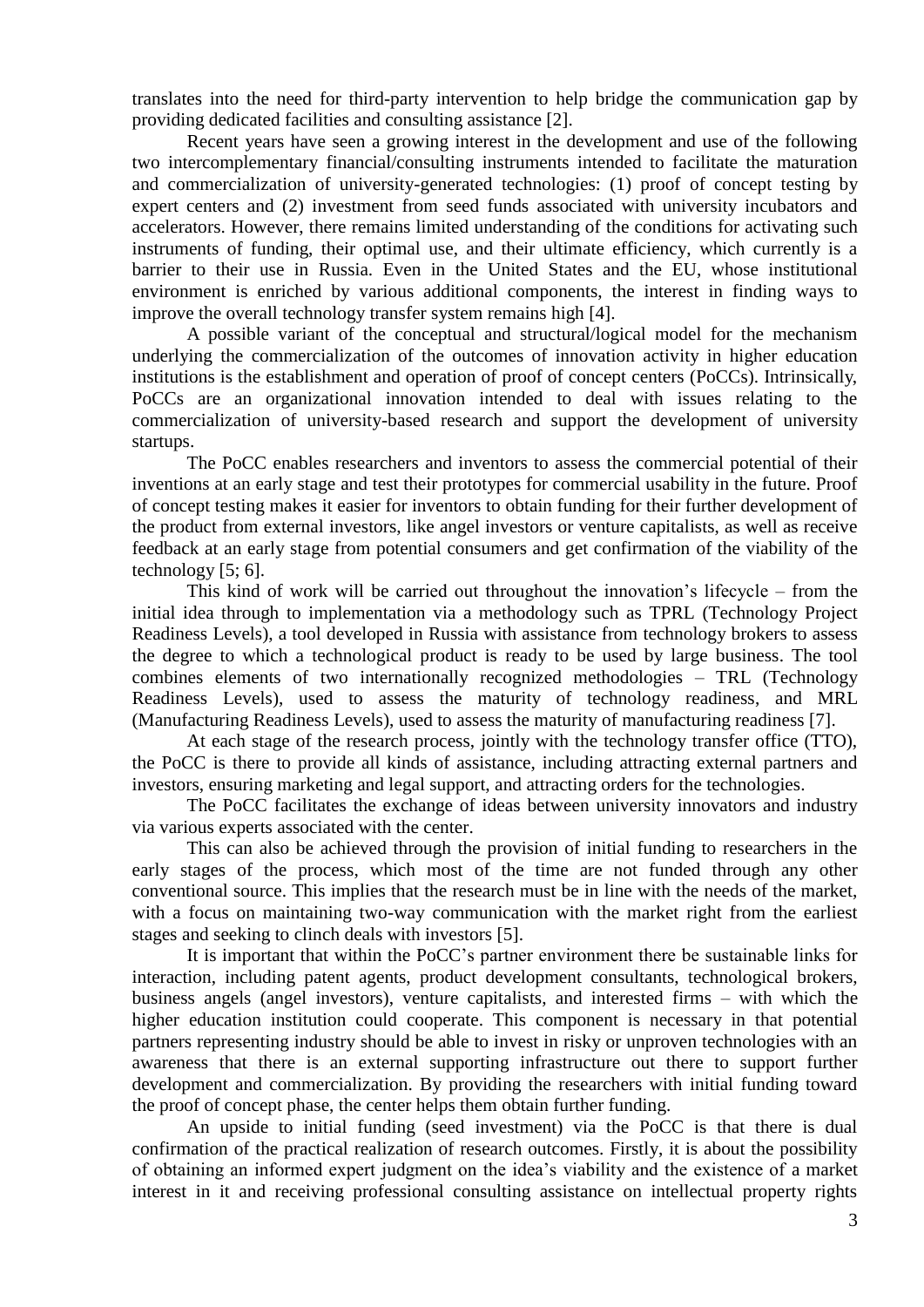translates into the need for third-party intervention to help bridge the communication gap by providing dedicated facilities and consulting assistance [2].

Recent years have seen a growing interest in the development and use of the following two intercomplementary financial/consulting instruments intended to facilitate the maturation and commercialization of university-generated technologies: (1) proof of concept testing by expert centers and (2) investment from seed funds associated with university incubators and accelerators. However, there remains limited understanding of the conditions for activating such instruments of funding, their optimal use, and their ultimate efficiency, which currently is a barrier to their use in Russia. Even in the United States and the EU, whose institutional environment is enriched by various additional components, the interest in finding ways to improve the overall technology transfer system remains high [4].

A possible variant of the conceptual and structural/logical model for the mechanism underlying the commercialization of the outcomes of innovation activity in higher education institutions is the establishment and operation of proof of concept centers (PoCCs). Intrinsically, PoCCs are an organizational innovation intended to deal with issues relating to the commercialization of university-based research and support the development of university startups.

The PoCC enables researchers and inventors to assess the commercial potential of their inventions at an early stage and test their prototypes for commercial usability in the future. Proof of concept testing makes it easier for inventors to obtain funding for their further development of the product from external investors, like angel investors or venture capitalists, as well as receive feedback at an early stage from potential consumers and get confirmation of the viability of the technology [5; 6].

This kind of work will be carried out throughout the innovation's lifecycle – from the initial idea through to implementation via a methodology such as TPRL (Technology Project Readiness Levels), a tool developed in Russia with assistance from technology brokers to assess the degree to which a technological product is ready to be used by large business. The tool combines elements of two internationally recognized methodologies – TRL (Technology Readiness Levels), used to assess the maturity of technology readiness, and MRL (Manufacturing Readiness Levels), used to assess the maturity of manufacturing readiness [7].

At each stage of the research process, jointly with the technology transfer office (TTO), the PoCC is there to provide all kinds of assistance, including attracting external partners and investors, ensuring marketing and legal support, and attracting orders for the technologies.

The PoCC facilitates the exchange of ideas between university innovators and industry via various experts associated with the center.

This can also be achieved through the provision of initial funding to researchers in the early stages of the process, which most of the time are not funded through any other conventional source. This implies that the research must be in line with the needs of the market, with a focus on maintaining two-way communication with the market right from the earliest stages and seeking to clinch deals with investors [5].

It is important that within the PoCC's partner environment there be sustainable links for interaction, including patent agents, product development consultants, technological brokers, business angels (angel investors), venture capitalists, and interested firms – with which the higher education institution could cooperate. This component is necessary in that potential partners representing industry should be able to invest in risky or unproven technologies with an awareness that there is an external supporting infrastructure out there to support further development and commercialization. By providing the researchers with initial funding toward the proof of concept phase, the center helps them obtain further funding.

An upside to initial funding (seed investment) via the PoCC is that there is dual confirmation of the practical realization of research outcomes. Firstly, it is about the possibility of obtaining an informed expert judgment on the idea's viability and the existence of a market interest in it and receiving professional consulting assistance on intellectual property rights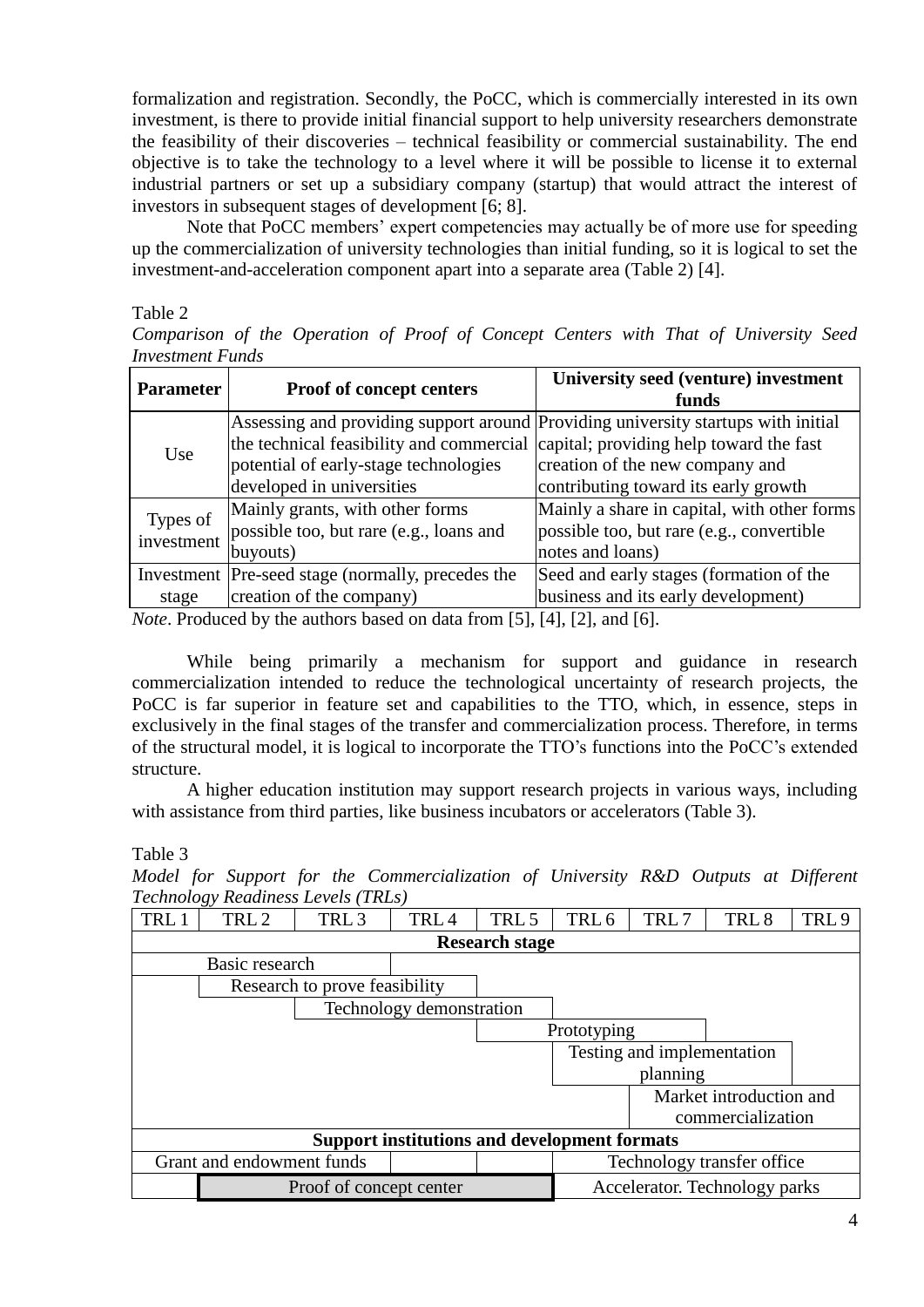formalization and registration. Secondly, the PoCC, which is commercially interested in its own investment, is there to provide initial financial support to help university researchers demonstrate the feasibility of their discoveries – technical feasibility or commercial sustainability. The end objective is to take the technology to a level where it will be possible to license it to external industrial partners or set up a subsidiary company (startup) that would attract the interest of investors in subsequent stages of development [6; 8].

Note that PoCC members' expert competencies may actually be of more use for speeding up the commercialization of university technologies than initial funding, so it is logical to set the investment-and-acceleration component apart into a separate area (Table 2) [4].

## Table 2

*Comparison of the Operation of Proof of Concept Centers with That of University Seed Investment Funds*

| <b>Parameter</b>       | Proof of concept centers                                                         | University seed (venture) investment<br>funds                                     |
|------------------------|----------------------------------------------------------------------------------|-----------------------------------------------------------------------------------|
|                        |                                                                                  | Assessing and providing support around Providing university startups with initial |
| Use                    | the technical feasibility and commercial capital; providing help toward the fast |                                                                                   |
|                        | potential of early-stage technologies                                            | creation of the new company and                                                   |
|                        | developed in universities                                                        | contributing toward its early growth                                              |
|                        | Mainly grants, with other forms                                                  | Mainly a share in capital, with other forms                                       |
| Types of<br>investment | possible too, but rare (e.g., loans and                                          | possible too, but rare (e.g., convertible)                                        |
|                        | buyouts)                                                                         | notes and loans)                                                                  |
|                        | Investment Pre-seed stage (normally, precedes the                                | Seed and early stages (formation of the                                           |
| stage                  | creation of the company)                                                         | business and its early development)                                               |

*Note*. Produced by the authors based on data from [5], [4], [2], and [6].

While being primarily a mechanism for support and guidance in research commercialization intended to reduce the technological uncertainty of research projects, the PoCC is far superior in feature set and capabilities to the TTO, which, in essence, steps in exclusively in the final stages of the transfer and commercialization process. Therefore, in terms of the structural model, it is logical to incorporate the TTO's functions into the PoCC's extended structure.

A higher education institution may support research projects in various ways, including with assistance from third parties, like business incubators or accelerators (Table 3).

## Table 3

*Model for Support for the Commercialization of University R&D Outputs at Different Technology Readiness Levels (TRLs)*

| TRL                                                 | TRL <sub>2</sub>                                        | TRL <sub>3</sub> | TRL <sub>4</sub> | TRL 5                         | TRL <sub>6</sub> | TRL7                       | TRL <sub>8</sub>  | TRL <sub>9</sub> |
|-----------------------------------------------------|---------------------------------------------------------|------------------|------------------|-------------------------------|------------------|----------------------------|-------------------|------------------|
| <b>Research stage</b>                               |                                                         |                  |                  |                               |                  |                            |                   |                  |
|                                                     | Basic research                                          |                  |                  |                               |                  |                            |                   |                  |
| Research to prove feasibility                       |                                                         |                  |                  |                               |                  |                            |                   |                  |
| Technology demonstration                            |                                                         |                  |                  |                               |                  |                            |                   |                  |
|                                                     |                                                         |                  |                  |                               | Prototyping      |                            |                   |                  |
|                                                     |                                                         |                  |                  |                               |                  | Testing and implementation |                   |                  |
|                                                     |                                                         |                  |                  |                               |                  | planning                   |                   |                  |
|                                                     |                                                         |                  |                  |                               |                  | Market introduction and    |                   |                  |
|                                                     |                                                         |                  |                  |                               |                  |                            | commercialization |                  |
| <b>Support institutions and development formats</b> |                                                         |                  |                  |                               |                  |                            |                   |                  |
|                                                     | Grant and endowment funds<br>Technology transfer office |                  |                  |                               |                  |                            |                   |                  |
|                                                     | Proof of concept center                                 |                  |                  | Accelerator. Technology parks |                  |                            |                   |                  |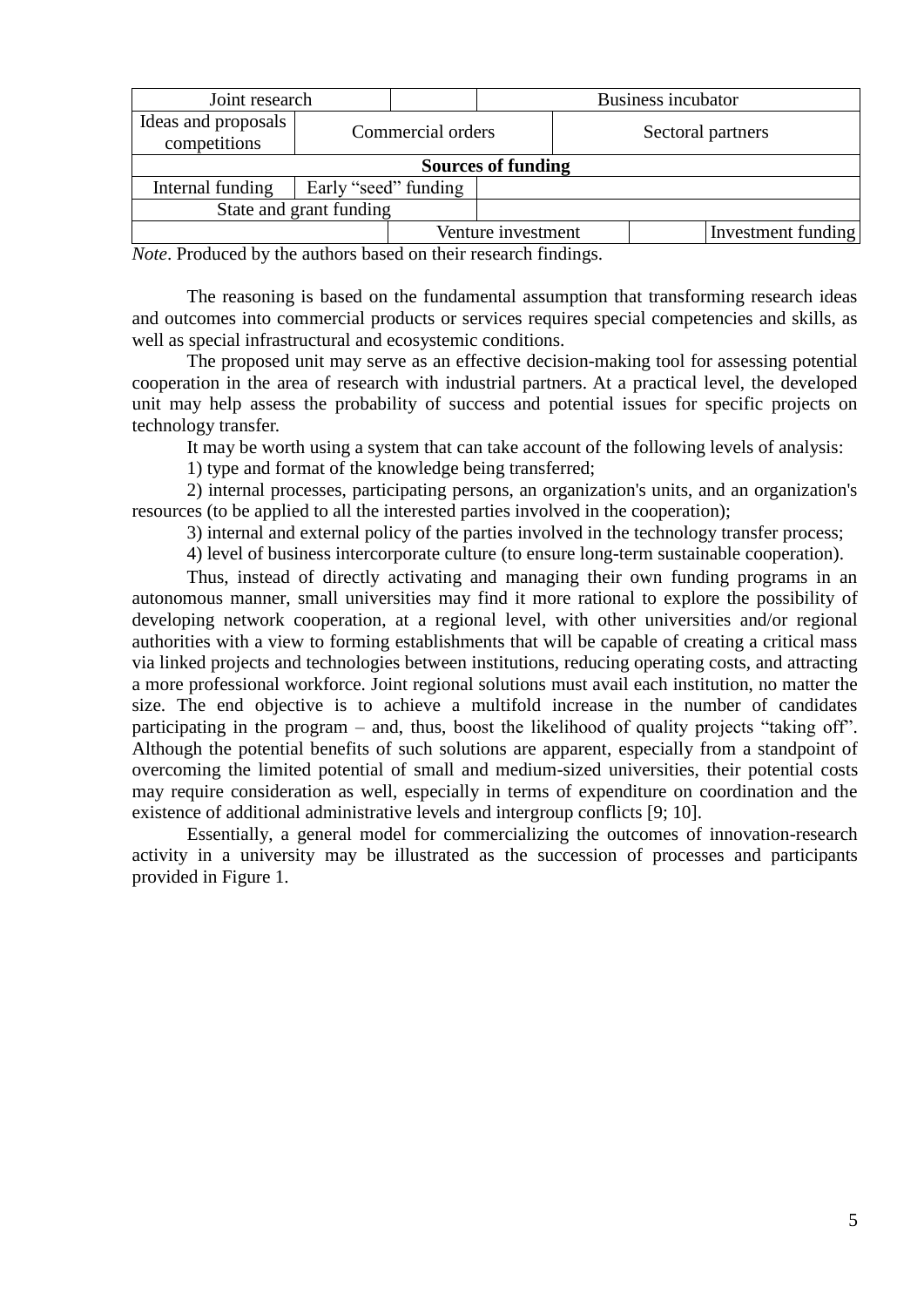| Joint research                      |                      | Business incubator |                    |  |                    |  |  |
|-------------------------------------|----------------------|--------------------|--------------------|--|--------------------|--|--|
| Ideas and proposals<br>competitions |                      | Commercial orders  |                    |  | Sectoral partners  |  |  |
| <b>Sources of funding</b>           |                      |                    |                    |  |                    |  |  |
| Internal funding                    | Early "seed" funding |                    |                    |  |                    |  |  |
| State and grant funding             |                      |                    |                    |  |                    |  |  |
|                                     |                      |                    | Venture investment |  | Investment funding |  |  |

*Note*. Produced by the authors based on their research findings.

The reasoning is based on the fundamental assumption that transforming research ideas and outcomes into commercial products or services requires special competencies and skills, as well as special infrastructural and ecosystemic conditions.

The proposed unit may serve as an effective decision-making tool for assessing potential cooperation in the area of research with industrial partners. At a practical level, the developed unit may help assess the probability of success and potential issues for specific projects on technology transfer.

It may be worth using a system that can take account of the following levels of analysis:

1) type and format of the knowledge being transferred;

2) internal processes, participating persons, an organization's units, and an organization's resources (to be applied to all the interested parties involved in the cooperation);

3) internal and external policy of the parties involved in the technology transfer process;

4) level of business intercorporate culture (to ensure long-term sustainable cooperation).

Thus, instead of directly activating and managing their own funding programs in an autonomous manner, small universities may find it more rational to explore the possibility of developing network cooperation, at a regional level, with other universities and/or regional authorities with a view to forming establishments that will be capable of creating a critical mass via linked projects and technologies between institutions, reducing operating costs, and attracting a more professional workforce. Joint regional solutions must avail each institution, no matter the size. The end objective is to achieve a multifold increase in the number of candidates participating in the program – and, thus, boost the likelihood of quality projects "taking off". Although the potential benefits of such solutions are apparent, especially from a standpoint of overcoming the limited potential of small and medium-sized universities, their potential costs may require consideration as well, especially in terms of expenditure on coordination and the existence of additional administrative levels and intergroup conflicts [9; 10].

Essentially, a general model for commercializing the outcomes of innovation-research activity in a university may be illustrated as the succession of processes and participants provided in Figure 1.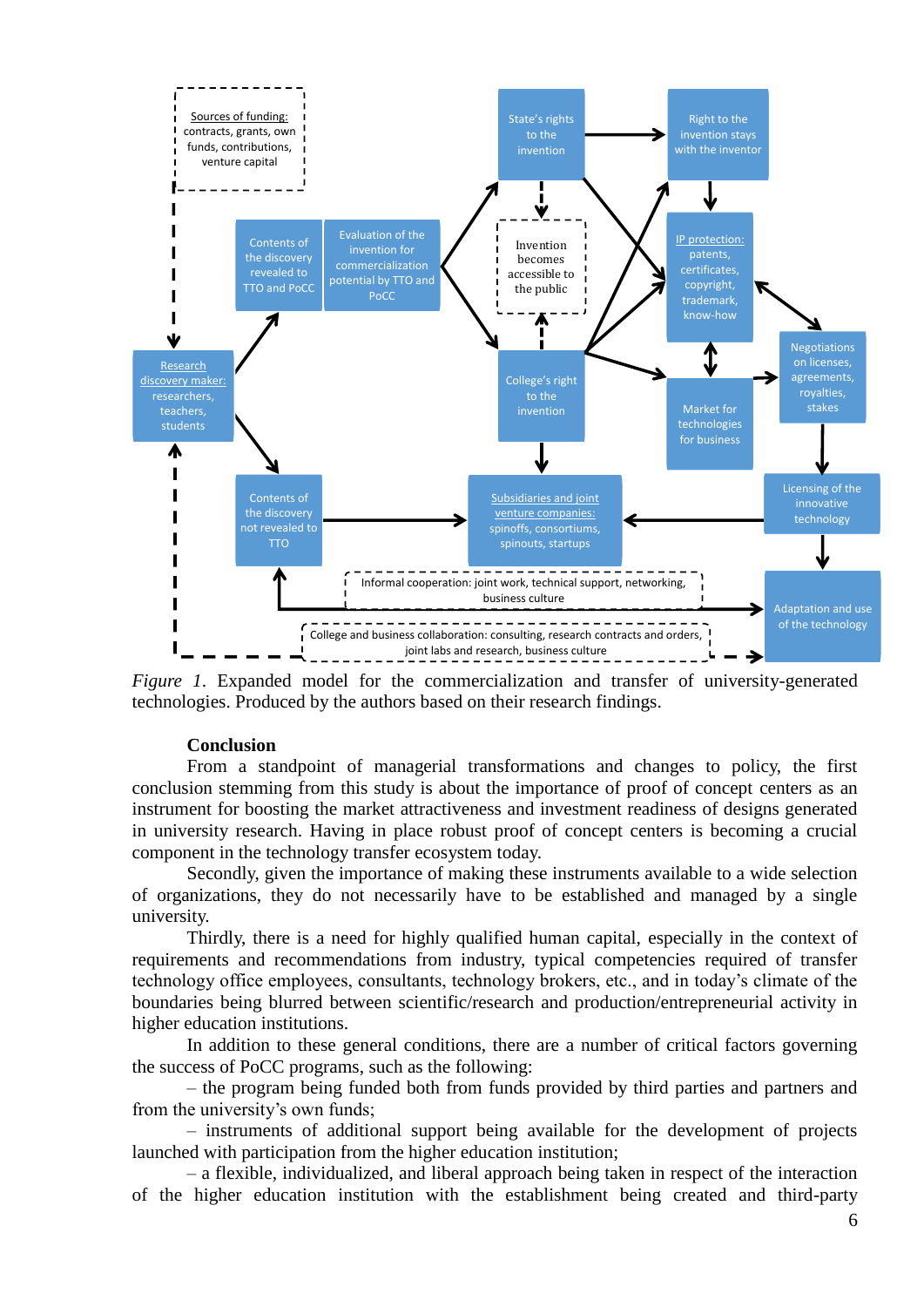

*Figure 1*. Expanded model for the commercialization and transfer of university-generated technologies. Produced by the authors based on their research findings.

## **Conclusion**

From a standpoint of managerial transformations and changes to policy, the first conclusion stemming from this study is about the importance of proof of concept centers as an instrument for boosting the market attractiveness and investment readiness of designs generated in university research. Having in place robust proof of concept centers is becoming a crucial component in the technology transfer ecosystem today.

Secondly, given the importance of making these instruments available to a wide selection of organizations, they do not necessarily have to be established and managed by a single university.

Thirdly, there is a need for highly qualified human capital, especially in the context of requirements and recommendations from industry, typical competencies required of transfer technology office employees, consultants, technology brokers, etc., and in today's climate of the boundaries being blurred between scientific/research and production/entrepreneurial activity in higher education institutions.

In addition to these general conditions, there are a number of critical factors governing the success of PoCC programs, such as the following:

– the program being funded both from funds provided by third parties and partners and from the university's own funds;

– instruments of additional support being available for the development of projects launched with participation from the higher education institution;

– a flexible, individualized, and liberal approach being taken in respect of the interaction of the higher education institution with the establishment being created and third-party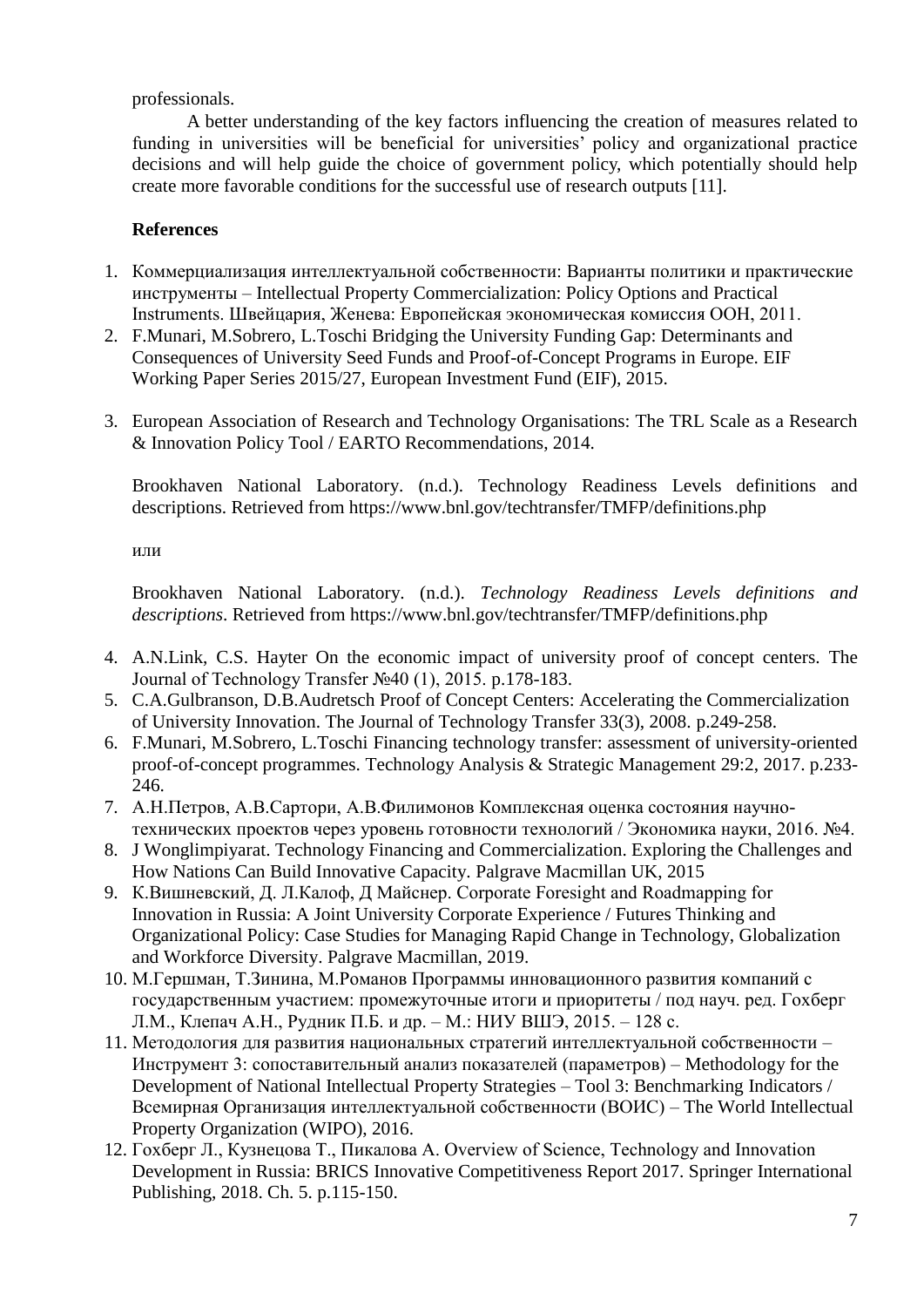professionals.

A better understanding of the key factors influencing the creation of measures related to funding in universities will be beneficial for universities' policy and organizational practice decisions and will help guide the choice of government policy, which potentially should help create more favorable conditions for the successful use of research outputs [11].

# **References**

- 1. Коммерциализация интеллектуальной собственности: Варианты политики и практические инструменты – Intellectual Property Commercialization: Policy Options and Practical Instruments. Швейцария, Женева: Европейская экономическая комиссия ООН, 2011.
- 2. F.Munari, M.Sobrero, L.Toschi Bridging the University Funding Gap: Determinants and Consequences of University Seed Funds and Proof-of-Concept Programs in Europe. EIF Working Paper Series 2015/27, European Investment Fund (EIF), 2015.
- 3. European Association of Research and Technology Organisations: The TRL Scale as a Research & Innovation Policy Tool / EARTO Recommendations, 2014.

Brookhaven National Laboratory. (n.d.). Technology Readiness Levels definitions and descriptions. Retrieved from https://www.bnl.gov/techtransfer/TMFP/definitions.php

или

Brookhaven National Laboratory. (n.d.). *Technology Readiness Levels definitions and descriptions*. Retrieved from https://www.bnl.gov/techtransfer/TMFP/definitions.php

- 4. A.N.Link, C.S. Hayter On the economic impact of university proof of concept centers. The Journal of Technology Transfer №40 (1), 2015. p.178-183.
- 5. C.A.Gulbranson, D.B.Audretsch Proof of Concept Centers: Accelerating the Commercialization of University Innovation. The Journal of Technology Transfer 33(3), 2008. p.249-258.
- 6. F.Munari, M.Sobrero, L.Toschi Financing technology transfer: assessment of university-oriented proof-of-concept programmes. Technology Analysis & Strategic Management 29:2, 2017. p.233- 246.
- 7. А.Н.Петров, А.В.Сартори, А.В.Филимонов Комплексная оценка состояния научнотехнических проектов через уровень готовности технологий / Экономика науки, 2016. №4.
- 8. J Wonglimpiyarat. Technology Financing and Commercialization. Exploring the Challenges and How Nations Can Build Innovative Capacity. Palgrave Macmillan UK, 2015
- 9. К.Вишневский, Д. Л.Калоф, Д Майснер. Corporate Foresight and Roadmapping for Innovation in Russia: A Joint University Corporate Experience / Futures Thinking and Organizational Policy: Case Studies for Managing Rapid Change in Technology, Globalization and Workforce Diversity. Palgrave Macmillan, 2019.
- 10. М.Гершман, Т.Зинина, М.Романов Программы инновационного развития компаний с государственным участием: промежуточные итоги и приоритеты / под науч. ред. Гохберг Л.М., Клепач А.Н., Рудник П.Б. и др. – М.: НИУ ВШЭ, 2015. – 128 с.
- 11. Методология для развития национальных стратегий интеллектуальной собственности Инструмент 3: сопоставительный анализ показателей (параметров) – Methodology for the Development of National Intellectual Property Strategies – Tool 3: Benchmarking Indicators / Всемирная Организация интеллектуальной собственности (ВОИС) – The World Intellectual Property Organization (WIPO), 2016.
- 12. Гохберг Л., Кузнецова Т., Пикалова А. Overview of Science, Technology and Innovation Development in Russia: BRICS Innovative Competitiveness Report 2017. Springer International Publishing, 2018. Ch. 5. p.115-150.